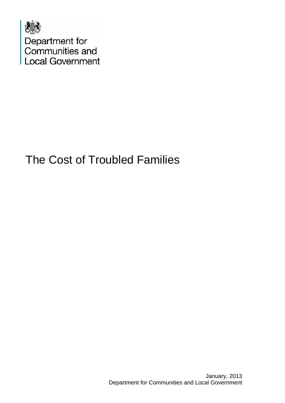

Department for<br>Communities and **Local Government** 

# The Cost of Troubled Families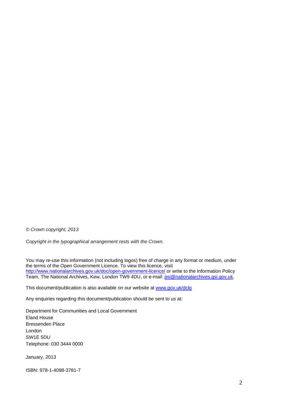*© Crown copyright, 2013* 

*Copyright in the typographical arrangement rests with the Crown.*

You may re-use this information (not including logos) free of charge in any format or medium, under the terms of the Open Government Licence. To view this licence, visit <http://www.nationalarchives.gov.uk/doc/open-government-licence/> or write to the Information Policy Team, The National Archives, Kew, London TW9 4DU, or e-mail: **psi@nationalarchives.gsi.gov.uk.** 

This document/publication is also available on our website at [www.gov.uk/dclg](http://www.gov.uk/dclg)

Any enquiries regarding this document/publication should be sent to us at:

Department for Communities and Local Government Eland House Bressenden Place London SW1E 5DU Telephone: 030 3444 0000

January, 2013

ISBN: 978-1-4098-3781-7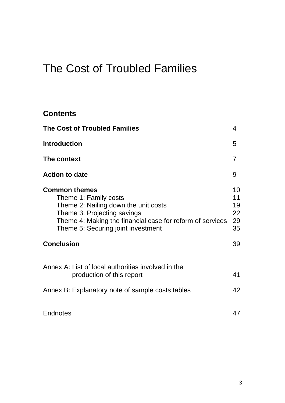# The Cost of Troubled Families

#### **Contents**

| <b>The Cost of Troubled Families</b>                                                                                                                                                                                    | 4                                |
|-------------------------------------------------------------------------------------------------------------------------------------------------------------------------------------------------------------------------|----------------------------------|
| <b>Introduction</b>                                                                                                                                                                                                     | 5                                |
| The context                                                                                                                                                                                                             | 7                                |
| <b>Action to date</b>                                                                                                                                                                                                   | 9                                |
| <b>Common themes</b><br>Theme 1: Family costs<br>Theme 2: Nailing down the unit costs<br>Theme 3: Projecting savings<br>Theme 4: Making the financial case for reform of services<br>Theme 5: Securing joint investment | 10<br>11<br>19<br>22<br>29<br>35 |
| <b>Conclusion</b>                                                                                                                                                                                                       | 39                               |
| Annex A: List of local authorities involved in the<br>production of this report                                                                                                                                         | 41                               |
| Annex B: Explanatory note of sample costs tables                                                                                                                                                                        | 42                               |
| <b>Endnotes</b>                                                                                                                                                                                                         | 47                               |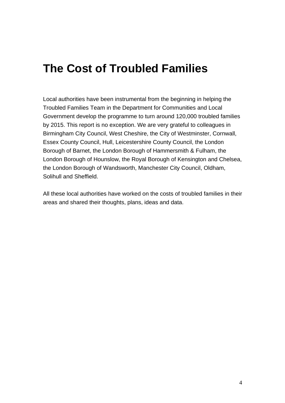# **The Cost of Troubled Families**

Local authorities have been instrumental from the beginning in helping the Troubled Families Team in the Department for Communities and Local Government develop the programme to turn around 120,000 troubled families by 2015. This report is no exception. We are very grateful to colleagues in Birmingham City Council, West Cheshire, the City of Westminster, Cornwall, Essex County Council, Hull, Leicestershire County Council, the London Borough of Barnet, the London Borough of Hammersmith & Fulham, the London Borough of Hounslow, the Royal Borough of Kensington and Chelsea, the London Borough of Wandsworth, Manchester City Council, Oldham, Solihull and Sheffield.

All these local authorities have worked on the costs of troubled families in their areas and shared their thoughts, plans, ideas and data.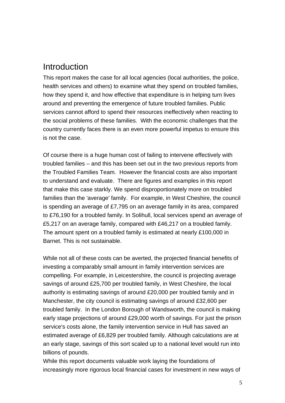### Introduction

This report makes the case for all local agencies (local authorities, the police, health services and others) to examine what they spend on troubled families, how they spend it, and how effective that expenditure is in helping turn lives around and preventing the emergence of future troubled families. Public services cannot afford to spend their resources ineffectively when reacting to the social problems of these families. With the economic challenges that the country currently faces there is an even more powerful impetus to ensure this is not the case.

Of course there is a huge human cost of failing to intervene effectively with troubled families – and this has been set out in the two previous reports from the Troubled Families Team*.* However the financial costs are also important to understand and evaluate. There are figures and examples in this report that make this case starkly. We spend disproportionately more on troubled families than the 'average' family. For example, in West Cheshire, the council is spending an average of £7,795 on an average family in its area, compared to £76,190 for a troubled family. In Solihull, local services spend an average of £5,217 on an average family, compared with £46,217 on a troubled family. The amount spent on a troubled family is estimated at nearly £100,000 in Barnet. This is not sustainable.

While not all of these costs can be averted, the projected financial benefits of investing a comparably small amount in family intervention services are compelling. For example, in Leicestershire, the council is projecting average savings of around £25,700 per troubled family, in West Cheshire, the local authority is estimating savings of around £20,000 per troubled family and in Manchester, the city council is estimating savings of around £32,600 per troubled family. In the London Borough of Wandsworth, the council is making early stage projections of around £29,000 worth of savings. For just the prison service's costs alone, the family intervention service in Hull has saved an estimated average of £6,829 per troubled family. Although calculations are at an early stage, savings of this sort scaled up to a national level would run into billions of pounds.

While this report documents valuable work laying the foundations of increasingly more rigorous local financial cases for investment in new ways of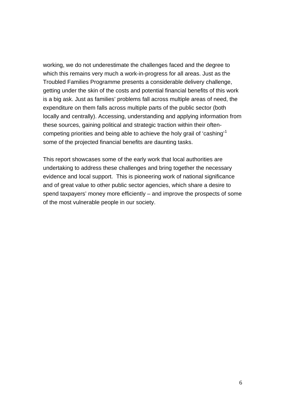working, we do not underestimate the challenges faced and the degree to which this remains very much a work-in-progress for all areas. Just as the Troubled Families Programme presents a considerable delivery challenge, getting under the skin of the costs and potential financial benefits of this work is a big ask. Just as families' problems fall across multiple areas of need, the expenditure on them falls across multiple parts of the public sector (both locally and centrally). Accessing, understanding and applying information from these sources, gaining political and strategic traction within their oftencompeting priorities and being able to achieve the holy grail of 'cashing'[1](#page-46-0) some of the projected financial benefits are daunting tasks.

This report showcases some of the early work that local authorities are undertaking to address these challenges and bring together the necessary evidence and local support. This is pioneering work of national significance and of great value to other public sector agencies, which share a desire to spend taxpayers' money more efficiently – and improve the prospects of some of the most vulnerable people in our society.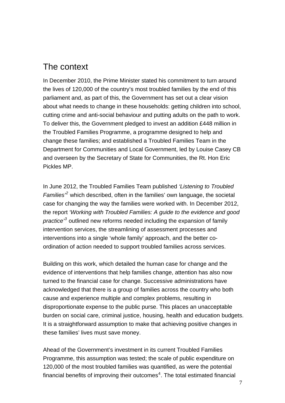### The context

In December 2010, the Prime Minister stated his commitment to turn around the lives of 120,000 of the country's most troubled families by the end of this parliament and, as part of this, the Government has set out a clear vision about what needs to change in these households: getting children into school, cutting crime and anti-social behaviour and putting adults on the path to work. To deliver this, the Government pledged to invest an addition £448 million in the Troubled Families Programme, a programme designed to help and change these families; and established a Troubled Families Team in the Department for Communities and Local Government, led by Louise Casey CB and overseen by the Secretary of State for Communities, the Rt. Hon Eric Pickles MP.

In June 2012, the Troubled Families Team published *'Listening to Troubled Families'[2](#page-46-1)* which described, often in the families' own language, the societal case for changing the way the families were worked with. In December 2012, the report *'Working with Troubled Families: A guide to the evidence and good practice'[3](#page-46-1)* outlined new reforms needed including the expansion of family intervention services, the streamlining of assessment processes and interventions into a single 'whole family' approach, and the better coordination of action needed to support troubled families across services.

Building on this work, which detailed the human case for change and the evidence of interventions that help families change, attention has also now turned to the financial case for change. Successive administrations have acknowledged that there is a group of families across the country who both cause and experience multiple and complex problems, resulting in disproportionate expense to the public purse. This places an unacceptable burden on social care, criminal justice, housing, health and education budgets. It is a straightforward assumption to make that achieving positive changes in these families' lives must save money.

Ahead of the Government's investment in its current Troubled Families Programme, this assumption was tested; the scale of public expenditure on 120,000 of the most troubled families was quantified, as were the potential financial benefits of improving their outcomes<sup>[4](#page-46-1)</sup>. The total estimated financial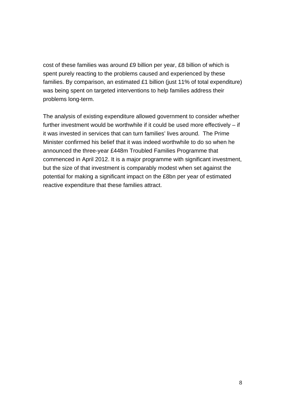cost of these families was around £9 billion per year, £8 billion of which is spent purely reacting to the problems caused and experienced by these families. By comparison, an estimated £1 billion (just 11% of total expenditure) was being spent on targeted interventions to help families address their problems long-term.

The analysis of existing expenditure allowed government to consider whether further investment would be worthwhile if it could be used more effectively – if it was invested in services that can turn families' lives around. The Prime Minister confirmed his belief that it was indeed worthwhile to do so when he announced the three-year £448m Troubled Families Programme that commenced in April 2012. It is a major programme with significant investment, but the size of that investment is comparably modest when set against the potential for making a significant impact on the £8bn per year of estimated reactive expenditure that these families attract.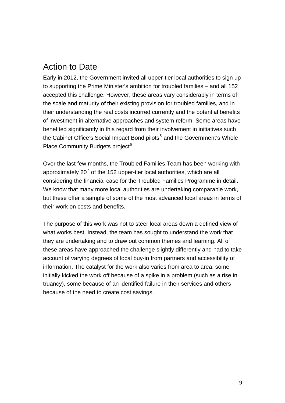# Action to Date

Early in 2012, the Government invited all upper-tier local authorities to sign up to supporting the Prime Minister's ambition for troubled families – and all 152 accepted this challenge. However, these areas vary considerably in terms of the scale and maturity of their existing provision for troubled families, and in their understanding the real costs incurred currently and the potential benefits of investment in alternative approaches and system reform. Some areas have benefited significantly in this regard from their involvement in initiatives such the Cabinet Office's Social Impact Bond pilots<sup>[5](#page-46-1)</sup> and the Government's Whole Place Community Budgets project<sup>[6](#page-46-1)</sup>.

Over the last few months, the Troubled Families Team has been working with approximately 20<sup>[7](#page-46-1)</sup> of the 152 upper-tier local authorities, which are all considering the financial case for the Troubled Families Programme in detail. We know that many more local authorities are undertaking comparable work, but these offer a sample of some of the most advanced local areas in terms of their work on costs and benefits.

The purpose of this work was not to steer local areas down a defined view of what works best. Instead, the team has sought to understand the work that they are undertaking and to draw out common themes and learning. All of these areas have approached the challenge slightly differently and had to take account of varying degrees of local buy-in from partners and accessibility of information. The catalyst for the work also varies from area to area; some initially kicked the work off because of a spike in a problem (such as a rise in truancy), some because of an identified failure in their services and others because of the need to create cost savings.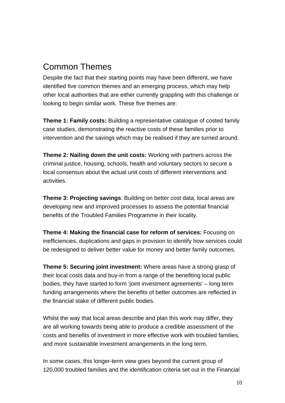# Common Themes

Despite the fact that their starting points may have been different, we have identified five common themes and an emerging process, which may help other local authorities that are either currently grappling with this challenge or looking to begin similar work. These five themes are:

**Theme 1: Family costs:** Building a representative catalogue of costed family case studies, demonstrating the reactive costs of these families prior to intervention and the savings which may be realised if they are turned around.

**Theme 2: Nailing down the unit costs:** Working with partners across the criminal justice, housing, schools, health and voluntary sectors to secure a local consensus about the actual unit costs of different interventions and activities.

**Theme 3: Projecting savings**: Building on better cost data, local areas are developing new and improved processes to assess the potential financial benefits of the Troubled Families Programme in their locality.

**Theme 4: Making the financial case for reform of services:** Focusing on inefficiencies, duplications and gaps in provision to identify how services could be redesigned to deliver better value for money and better family outcomes.

**Theme 5: Securing joint investment:** Where areas have a strong grasp of their local costs data and buy-in from a range of the benefiting local public bodies, they have started to form 'joint investment agreements' – long-term funding arrangements where the benefits of better outcomes are reflected in the financial stake of different public bodies.

Whilst the way that local areas describe and plan this work may differ, they are all working towards being able to produce a credible assessment of the costs and benefits of investment in more effective work with troubled families, and more sustainable investment arrangements in the long term.

In some cases, this longer-term view goes beyond the current group of 120,000 troubled families and the identification criteria set out in the Financial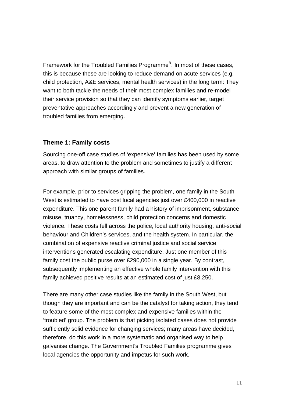Framework for the Troubled Families Programme<sup>[8](#page-46-1)</sup>. In most of these cases, this is because these are looking to reduce demand on acute services (e.g. child protection, A&E services, mental health services) in the long term: They want to both tackle the needs of their most complex families and re-model their service provision so that they can identify symptoms earlier, target preventative approaches accordingly and prevent a new generation of troubled families from emerging.

#### **Theme 1: Family costs**

Sourcing one-off case studies of 'expensive' families has been used by some areas, to draw attention to the problem and sometimes to justify a different approach with similar groups of families.

For example, prior to services gripping the problem, one family in the South West is estimated to have cost local agencies just over £400,000 in reactive expenditure. This one parent family had a history of imprisonment, substance misuse, truancy, homelessness, child protection concerns and domestic violence. These costs fell across the police, local authority housing, anti-social behaviour and Children's services, and the health system. In particular, the combination of expensive reactive criminal justice and social service interventions generated escalating expenditure. Just one member of this family cost the public purse over £290,000 in a single year. By contrast, subsequently implementing an effective whole family intervention with this family achieved positive results at an estimated cost of just £8,250.

There are many other case studies like the family in the South West, but though they are important and can be the catalyst for taking action, they tend to feature some of the most complex and expensive families within the 'troubled' group. The problem is that picking isolated cases does not provide sufficiently solid evidence for changing services; many areas have decided, therefore, do this work in a more systematic and organised way to help galvanise change. The Government's Troubled Families programme gives local agencies the opportunity and impetus for such work.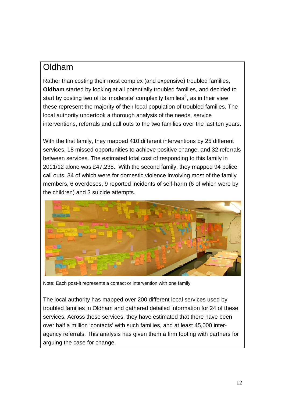### Oldham

Rather than costing their most complex (and expensive) troubled families, **Oldham** started by looking at all potentially troubled families, and decided to start by costing two of its 'moderate' complexity families $9^9$  $9^9$ , as in their view these represent the majority of their local population of troubled families. The local authority undertook a thorough analysis of the needs, service interventions, referrals and call outs to the two families over the last ten years.

With the first family, they mapped 410 different interventions by 25 different services, 18 missed opportunities to achieve positive change, and 32 referrals between services. The estimated total cost of responding to this family in 2011/12 alone was £47,235. With the second family, they mapped 94 police call outs, 34 of which were for domestic violence involving most of the family members, 6 overdoses, 9 reported incidents of self-harm (6 of which were by the children) and 3 suicide attempts.



Note: Each post-it represents a contact or intervention with one family

The local authority has mapped over 200 different local services used by troubled families in Oldham and gathered detailed information for 24 of these services. Across these services, they have estimated that there have been over half a million 'contacts' with such families, and at least 45,000 interagency referrals. This analysis has given them a firm footing with partners for arguing the case for change.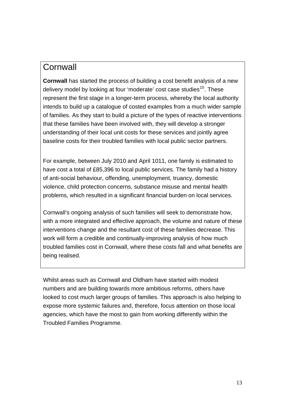### **Cornwall**

**Cornwall** has started the process of building a cost benefit analysis of a new delivery model by looking at four 'moderate' cost case studies<sup>[10](#page-46-1)</sup>. These represent the first stage in a longer-term process, whereby the local authority intends to build up a catalogue of costed examples from a much wider sample of families. As they start to build a picture of the types of reactive interventions that these families have been involved with, they will develop a stronger understanding of their local unit costs for these services and jointly agree baseline costs for their troubled families with local public sector partners.

For example, between July 2010 and April 1011, one family is estimated to have cost a total of £85,396 to local public services. The family had a history of anti-social behaviour, offending, unemployment, truancy, domestic violence, child protection concerns, substance misuse and mental health problems, which resulted in a significant financial burden on local services.

Cornwall's ongoing analysis of such families will seek to demonstrate how, with a more integrated and effective approach, the volume and nature of these interventions change and the resultant cost of these families decrease. This work will form a credible and continually-improving analysis of how much troubled families cost in Cornwall, where these costs fall and what benefits are being realised.

Whilst areas such as Cornwall and Oldham have started with modest numbers and are building towards more ambitious reforms, others have looked to cost much larger groups of families. This approach is also helping to expose more systemic failures and, therefore, focus attention on those local agencies, which have the most to gain from working differently within the Troubled Families Programme.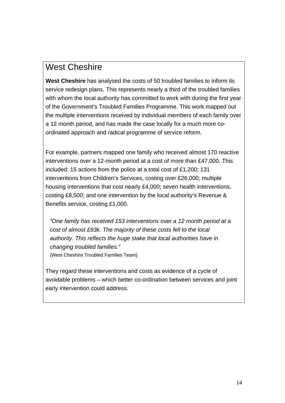# West Cheshire

**West Cheshire** has analysed the costs of 50 troubled families to inform its service redesign plans. This represents nearly a third of the troubled families with whom the local authority has committed to work with during the first year of the Government's Troubled Families Programme. This work mapped out the multiple interventions received by individual members of each family over a 12 month period, and has made the case locally for a much more coordinated approach and radical programme of service reform.

For example, partners mapped one family who received almost 170 reactive interventions over a 12-month period at a cost of more than £47,000. This included: 15 actions from the police at a total cost of £1,200; 131 interventions from Children's Services, costing over £26,000; multiple housing interventions that cost nearly £4,000; seven health interventions, costing £8,500; and one intervention by the local authority's Revenue & Benefits service, costing £1,000.

*"One family has received 153 interventions over a 12 month period at a cost of almost £93k. The majority of these costs fell to the local authority. This reflects the huge stake that local authorities have in changing troubled families."* (West Cheshire Troubled Families Team)

They regard these interventions and costs as evidence of a cycle of avoidable problems – which better co-ordination between services and joint early intervention could address.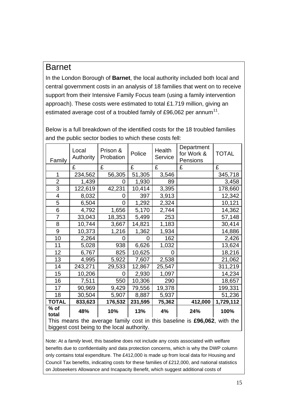### Barnet

In the London Borough of **Barnet**, the local authority included both local and central government costs in an analysis of 18 families that went on to receive support from their Intensive Family Focus team (using a family intervention approach). These costs were estimated to total £1.719 million, giving an estimated average cost of a troubled family of £96,062 per annum<sup>[11](#page-46-1)</sup>.

| Family                                                                   | Local<br>Authority | Prison &<br>Probation | Police  | Health<br>Service | Department<br>for Work &<br>Pensions | <b>TOTAL</b> |  |
|--------------------------------------------------------------------------|--------------------|-----------------------|---------|-------------------|--------------------------------------|--------------|--|
|                                                                          | £                  | £                     | £       | £                 | £                                    | £            |  |
| 1                                                                        | 234,562            | 56,305                | 51,305  | 3,546             |                                      | 345,718      |  |
| $\overline{2}$                                                           | 1,439              | 0                     | 1,930   | 89                |                                      | 3,458        |  |
| 3                                                                        | 122,619            | 42,231                | 10,414  | 3,395             |                                      | 178,660      |  |
| $\overline{4}$                                                           | 8,032              | O                     | 397     | 3,913             |                                      | 12,342       |  |
| 5                                                                        | 6,504              | 0                     | 1,292   | 2,324             |                                      | 10,121       |  |
| 6                                                                        | 4,792              | 1,656                 | 5,170   | 2,744             |                                      | 14,362       |  |
| $\overline{7}$                                                           | 33,043             | 18,353                | 5,499   | 253               |                                      | 57,148       |  |
| 8                                                                        | 10,744             | 3,667                 | 14,821  | 1,183             |                                      | 30,414       |  |
| 9                                                                        | 10,373             | 1,216                 | 1,362   | 1,934             |                                      | 14,886       |  |
| 10                                                                       | 2,264              | 0                     | O       | 162               |                                      | 2,426        |  |
| 11                                                                       | 5,028              | 938                   | 6,626   | 1,032             |                                      | 13,624       |  |
| 12                                                                       | 6,767              | 825                   | 10,625  | 0                 |                                      | 18,216       |  |
| 13                                                                       | 4,995              | 5,922                 | 7,607   | 2,538             |                                      | 21,062       |  |
| 14                                                                       | 243,271            | 29,533                | 12,867  | 25,547            |                                      | 311,219      |  |
| 15                                                                       | 10,206             | 0                     | 2,930   | 1,097             |                                      | 14,234       |  |
| 16                                                                       | 7,511              | 550                   | 10,306  | 290               |                                      | 18,657       |  |
| 17                                                                       | 90,969             | 9,429                 | 79,556  | 19,378            |                                      | 199,331      |  |
| 18                                                                       | 30,504             | 5,907                 | 8,887   | 5,937             |                                      | 51,236       |  |
| <b>TOTAL</b>                                                             | 833,623            | 176,532               | 231,595 | 75,362            | 412,000                              | 1,729,112    |  |
| $%$ of<br>total                                                          | 48%                | 10%                   | 13%     | 4%                | 24%                                  | 100%         |  |
| This means the average family cost in this baseline is £96,062, with the |                    |                       |         |                   |                                      |              |  |
| biggest cost being to the local authority.                               |                    |                       |         |                   |                                      |              |  |

Below is a full breakdown of the identified costs for the 18 troubled families and the public sector bodies to which these costs fell:

Note: At a *family* level, this baseline does not include any costs associated with welfare benefits due to confidentiality and data protection concerns, which is why the DWP column only contains total expenditure. The £412,000 is made up from local data for Housing and Council Tax benefits, indicating costs for these families of £212,000, and national statistics on Jobseekers Allowance and Incapacity Benefit, which suggest additional costs of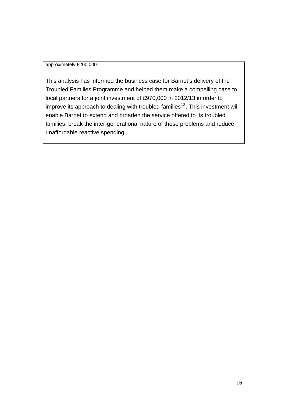#### approximately £200,000.

This analysis has informed the business case for Barnet's delivery of the Troubled Families Programme and helped them make a compelling case to local partners for a joint investment of £970,000 in 2012/13 in order to improve its approach to dealing with troubled families<sup>[12](#page-46-1)</sup>. This investment will enable Barnet to extend and broaden the service offered to its troubled families, break the inter-generational nature of these problems and reduce unaffordable reactive spending.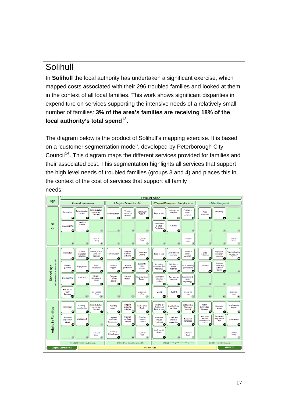# Solihull

In **Solihull** the local authority has undertaken a significant exercise, which mapped costs associated with their 296 troubled families and looked at them in the context of all local families. This work shows significant disparities in expenditure on services supporting the intensive needs of a relatively small number of families: **3% of the area's families are receiving 18% of the**  local authority's total spend<sup>[13](#page-46-1)</sup>.

The diagram below is the product of Solihull's mapping exercise. It is based on a 'customer segmentation model', developed by Peterborough City Council<sup>[14](#page-46-1)</sup>. This diagram maps the different services provided for families and their associated cost. This segmentation highlights all services that support the high level needs of troubled families (groups 3 and 4) and places this in the context of the cost of services that support all family needs:

|                              | <b>Level of Need</b>                                                                                                   |                                                                                                                            |                                                                                                                                        |                                                                                                                                                                  |  |  |  |
|------------------------------|------------------------------------------------------------------------------------------------------------------------|----------------------------------------------------------------------------------------------------------------------------|----------------------------------------------------------------------------------------------------------------------------------------|------------------------------------------------------------------------------------------------------------------------------------------------------------------|--|--|--|
| Age                          | 1 Universal, open access                                                                                               | 2 Targeted Preventative offer<br>3 Targeted Management of complex needs                                                    |                                                                                                                                        |                                                                                                                                                                  |  |  |  |
|                              | Leisure, culture<br>Early education<br>& arts (inc.<br>Information<br>& care<br>libraries)<br>M<br>Æ<br>W              | Targeted<br>Community<br>support &<br>Family support<br>CAMHS<br>activities<br>œ<br>o.<br>02                               | Children in<br><b>Disability Care</b><br>Care &<br>services<br>Edge of care<br>Adoption<br>G1<br>GŽ.<br>œ                              | Advocacy<br>Child<br>Protection<br>G.<br>œ                                                                                                                       |  |  |  |
| Ю<br>$\mathbf{I}$<br>$\circ$ | Health &<br>Welfare<br><b>Organised Play</b><br>M<br>æ,<br>M6                                                          | D4<br>DS:<br>D6                                                                                                            | Educational<br>CAMHS<br>& Child<br>Psychology<br>GS <sub></sub><br><b>GI</b><br>66                                                     | $\sqrt{5}$<br><b>JK</b>                                                                                                                                          |  |  |  |
|                              | £5.121,474<br>(Total)<br>(AT)<br>A<br>A8                                                                               | £1,258,367<br>(Total)<br>$\overline{or}$<br>o<br>Da                                                                        | £4,943,979<br>(Total)<br>G<br>$\alpha$<br>Ga                                                                                           | £138,167<br>(Total)<br>$\overline{37}$<br>38                                                                                                                     |  |  |  |
|                              | Full time<br>Leisure, culture<br>Information<br>& arts (inc.<br>education<br>provision<br>libraries)<br>G.<br>82<br>63 | Targeted<br>Community<br>support &<br>Family support<br>CAMHS<br>activities<br>Θ<br>e.<br>Θ                                | Children in<br><b>Disabled Care</b><br>Care &<br>Edge of care<br>services<br>Adoption<br>12<br>GH<br>G                                 | Alternative<br>Youth offending<br>Child<br>education<br>(Intervention & re-<br>Protection<br>Integration)<br>provision<br><b>IS</b><br><b>KC</b><br>$\mathbf{c}$ |  |  |  |
| School age                   | Careers<br>Work<br>Engagement<br>guidance<br>experience<br>ø<br>œ<br><b>CB</b>                                         | Support for<br>Transition<br>Detached<br>young<br>youth work<br>support<br>parents<br>α<br>Θ<br>ω                          | Substance<br>Improving<br>Youth offending<br>Behaviour and<br>misuse<br>(prevention)<br>Attainment<br>treatment<br>œ<br>c<br>œ         | Intensive<br>Advocacy<br>Community<br>Outreach<br>Service<br><b>RS</b><br>84<br>K4                                                                               |  |  |  |
|                              | Healthy<br>Youth work<br><b>Organised Play</b><br>Schools and<br>PSHE<br>87<br>œ<br>88                                 | Targeted<br>Education<br><b>Disability Living</b><br>Careers<br>welfare<br>Support<br>advice<br>Θ<br>٠<br>œ                | Alternative<br>Educational &<br>Care leaving<br>education<br>Child<br>services<br>provision<br>Psychology<br>œ<br>œ<br>œ               | $\overline{K}$<br><b>KB</b><br>K2                                                                                                                                |  |  |  |
|                              | Non-school<br>Health<br>E111,950,381<br>(Total)<br>Services<br>610<br>(BIT)<br>$\Box$                                  | £13,952,504<br>(Total)<br>(E1D)<br>(E11)<br>E                                                                              | <b>UASC</b><br><b>CAMHS</b><br>E28, 812, 103<br>(Tota)<br><b>LILL</b><br>$-$ H<br><b>DISO</b>                                          | £2,726,689<br>(Total)<br>K10<br>Œ<br><b>K11</b>                                                                                                                  |  |  |  |
|                              | Leisure, culture<br>Learning<br>Information<br>& arts (inc.<br>opportunities<br>libraries)<br>G<br>C2<br>Θ             | Targeted<br>Parenting<br><b>Adult Mental</b><br>support &<br>Health<br>support<br>activities<br>œ<br>G<br>œ                | (Parents of<br>Behaviour &<br><b>Disabled Care</b><br>Children at)<br>Attainment<br>services<br>Edge of care<br>support<br>œ<br>œ<br>G | Family<br>Homelessness<br>Domestic<br>Intervention<br>Support<br>Abuse<br>Services<br>œ<br>œ<br>ū                                                                |  |  |  |
| Adults in Families           | Careers and<br>Engagement<br>employment<br>advice<br>CS <sub></sub><br>α<br>$\overline{\infty}$                        | Financial<br>Housing<br>Targeted<br>advisory<br>Related<br>Inclusion &<br>support<br>Support<br>Engagement<br>G4<br>ß<br>œ | Substance<br>Crime and<br>Supported<br>misuse<br>Disorder<br>Tenancies<br>treatment<br>prevention<br>o<br>c<br>$\mathbf{B}$            | Serious and<br>Probation<br>very Serious<br>Services<br>Enforcement<br>tervention and re-<br><b>ASB</b><br>Integration)<br>G<br>œ<br>u                           |  |  |  |
|                              | £1,913,723<br>(Total)<br>C7<br>$\alpha$                                                                                | <b>Disability</b><br>E1,444,281<br><b>Living Support</b><br>(Total)<br>π<br>F8<br>f.                                       | <b>Adult Mental</b><br>Health<br>£3,636,968<br>(Total)<br>٠.                                                                           | £541,699<br>(Total)<br>$\overline{u}$<br>α<br>lus.                                                                                                               |  |  |  |
|                              | £118,985,578 Total Universal, Open Access                                                                              | £16,655,152 Total Targeted, Preventative Offer                                                                             | £37,393,050 Total Targeted Management of Complex Needs                                                                                 | £3,406,555 Total Crisis Management                                                                                                                               |  |  |  |
|                              | Budgeted Spend 2011/12                                                                                                 | E176,440,335 Total                                                                                                         |                                                                                                                                        | <b>APPENDIX1</b>                                                                                                                                                 |  |  |  |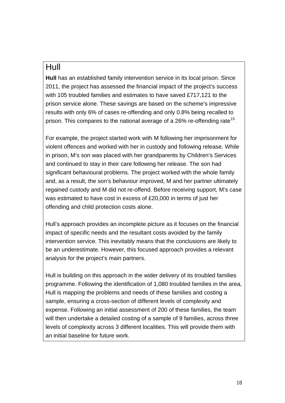### Hull

**Hull** has an established family intervention service in its local prison. Since 2011, the project has assessed the financial impact of the project's success with 105 troubled families and estimates to have saved £717,121 to the prison service alone. These savings are based on the scheme's impressive results with only 6% of cases re-offending and only 0.8% being recalled to prison. This compares to the national average of a 26% re-offending rate<sup>[15](#page-46-1)</sup>.

For example, the project started work with M following her imprisonment for violent offences and worked with her in custody and following release. While in prison, M's son was placed with her grandparents by Children's Services and continued to stay in their care following her release. The son had significant behavioural problems. The project worked with the whole family and, as a result, the son's behaviour improved, M and her partner ultimately regained custody and M did not re-offend. Before receiving support, M's case was estimated to have cost in excess of £20,000 in terms of just her offending and child protection costs alone.

Hull's approach provides an incomplete picture as it focuses on the financial impact of specific needs and the resultant costs avoided by the family intervention service. This inevitably means that the conclusions are likely to be an underestimate. However, this focused approach provides a relevant analysis for the project's main partners.

Hull is building on this approach in the wider delivery of its troubled families programme. Following the identification of 1,080 troubled families in the area, Hull is mapping the problems and needs of these families and costing a sample, ensuring a cross-section of different levels of complexity and expense. Following an initial assessment of 200 of these families, the team will then undertake a detailed costing of a sample of 9 families, across three levels of complexity across 3 different localities. This will provide them with an initial baseline for future work.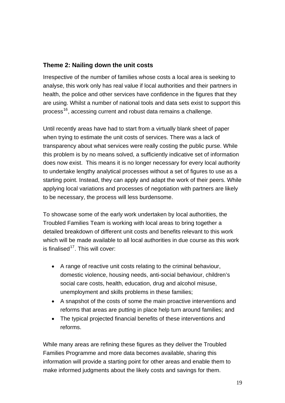#### **Theme 2: Nailing down the unit costs**

Irrespective of the number of families whose costs a local area is seeking to analyse, this work only has real value if local authorities and their partners in health, the police and other services have confidence in the figures that they are using. Whilst a number of national tools and data sets exist to support this process<sup>[16](#page-46-1)</sup>, accessing current and robust data remains a challenge.

Until recently areas have had to start from a virtually blank sheet of paper when trying to estimate the unit costs of services. There was a lack of transparency about what services were really costing the public purse. While this problem is by no means solved, a sufficiently indicative set of information does now exist. This means it is no longer necessary for every local authority to undertake lengthy analytical processes without a set of figures to use as a starting point. Instead, they can apply and adapt the work of their peers. While applying local variations and processes of negotiation with partners are likely to be necessary, the process will less burdensome.

To showcase some of the early work undertaken by local authorities, the Troubled Families Team is working with local areas to bring together a detailed breakdown of different unit costs and benefits relevant to this work which will be made available to all local authorities in due course as this work is finalised<sup>[17](#page-46-1)</sup>. This will cover:

- A range of reactive unit costs relating to the criminal behaviour, domestic violence, housing needs, anti-social behaviour, children's social care costs, health, education, drug and alcohol misuse, unemployment and skills problems in these families;
- A snapshot of the costs of some the main proactive interventions and reforms that areas are putting in place help turn around families; and
- The typical projected financial benefits of these interventions and reforms.

While many areas are refining these figures as they deliver the Troubled Families Programme and more data becomes available, sharing this information will provide a starting point for other areas and enable them to make informed judgments about the likely costs and savings for them.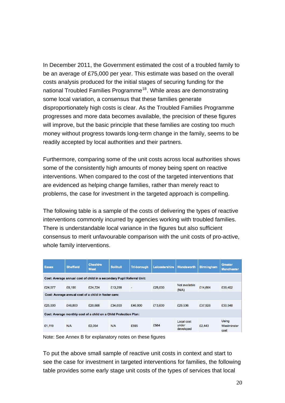In December 2011, the Government estimated the cost of a troubled family to be an average of £75,000 per year. This estimate was based on the overall costs analysis produced for the initial stages of securing funding for the national Troubled Families Programme<sup>[18](#page-47-0)</sup>. While areas are demonstrating some local variation, a consensus that these families generate disproportionately high costs is clear. As the Troubled Families Programme progresses and more data becomes available, the precision of these figures will improve, but the basic principle that these families are costing too much money without progress towards long-term change in the family, seems to be readily accepted by local authorities and their partners.

Furthermore, comparing some of the unit costs across local authorities shows some of the consistently high amounts of money being spent on reactive interventions. When compared to the cost of the targeted interventions that are evidenced as helping change families, rather than merely react to problems, the case for investment in the targeted approach is compelling.

The following table is a sample of the costs of delivering the types of reactive interventions commonly incurred by agencies working with troubled families. There is understandable local variance in the figures but also sufficient consensus to merit unfavourable comparison with the unit costs of pro-active, whole family interventions.

| <b>Essex</b>                                                           | <b>Sheffield</b> | <b>Cheshire</b><br><b>West</b> | <b>Solihull</b> | <b>Tri-borough</b> | Leicestershire | Wandsworth                       | <b>Birmingham</b> | <b>Greater</b><br><b>Manchester</b> |  |
|------------------------------------------------------------------------|------------------|--------------------------------|-----------------|--------------------|----------------|----------------------------------|-------------------|-------------------------------------|--|
| Cost: Average annual cost of child in a secondary Pupil Referral Unit: |                  |                                |                 |                    |                |                                  |                   |                                     |  |
| £24,077                                                                | £8,190           | £24.724                        | £13,258         | $\blacksquare$     | £25,000        | Not available<br>(N/A)           | £14.664           | £35,402                             |  |
| Cost: Average annual cost of a child in foster care:                   |                  |                                |                 |                    |                |                                  |                   |                                     |  |
| £25,000                                                                | £46,800          | £20,668                        | £34,000         | £46,800            | £13,600        | £29,536                          | £37,928           | £30,548                             |  |
| Cost: Average monthly cost of a child on a Child Protection Plan:      |                  |                                |                 |                    |                |                                  |                   |                                     |  |
| £1,119                                                                 | N/A              | £2.054                         | N/A             | £595               | £564           | Local cost<br>under<br>developed | £2,443            | Using<br>Westminster<br>cost        |  |

Note: See Annex B for explanatory notes on these figures

To put the above small sample of reactive unit costs in context and start to see the case for investment in targeted interventions for families, the following table provides some early stage unit costs of the types of services that local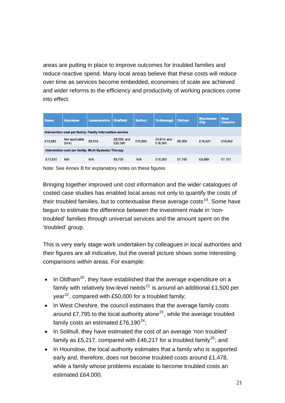areas are putting in place to improve outcomes for troubled families and reduce reactive spend. Many local areas believe that these costs will reduce over time as services become embedded, economies of scale are achieved and wider reforms to the efficiency and productivity of working practices come into effect.

| <b>Essex</b>                                              | <b>Hounslow</b>         | Leicestershire | <b>Sheffield</b>         | <b>Solihull</b> | <b>Tri-Borough</b>     | <b>Oldham</b> | <b>Manchester</b><br><b>City</b> | <b>West</b><br><b>Cheshire</b> |
|-----------------------------------------------------------|-------------------------|----------------|--------------------------|-----------------|------------------------|---------------|----------------------------------|--------------------------------|
| Intervention cost per family: Family intervention service |                         |                |                          |                 |                        |               |                                  |                                |
| £15,983                                                   | Not applicable<br>(N/A) | £6,014         | $£8,000;$ and<br>£20,000 | £10,694         | £4,814; and<br>£16,000 | £6,500        | £18,421                          | £16,942                        |
| Intervention cost per family: Multi-Systemic Therapy      |                         |                |                          |                 |                        |               |                                  |                                |
| £17,631                                                   | N/A                     | N/A            | £8,700                   | N/A             | £10,000                | £7,750        | £9,889                           | £7,101                         |
|                                                           |                         |                |                          |                 |                        |               |                                  |                                |

Note: See Annex B for explanatory notes on these figures

Bringing together improved unit cost information and the wider catalogues of costed case studies has enabled local areas not only to quantify the costs of their troubled families, but to contextualise these average costs<sup>[19](#page-47-0)</sup>. Some have begun to estimate the difference between the investment made in 'nontroubled' families through universal services and the amount spent on the 'troubled' group.

This is very early stage work undertaken by colleagues in local authorities and their figures are all indicative, but the overall picture shows some interesting comparisons *within* areas. For example:

- In Oldham<sup>[20](#page-47-0)</sup>, they have established that the average expenditure on a family with relatively low-level needs<sup>[21](#page-47-0)</sup> is around an additional £1,500 per year<sup>[22](#page-47-0)</sup>, compared with £50,000 for a troubled family;
- In West Cheshire, the council estimates that the average family costs around £7,795 to the local authority alone<sup>[23](#page-47-0)</sup>, while the average troubled family costs an estimated £76,190 $^{24}$  $^{24}$  $^{24}$ ;
- In Solihull, they have estimated the cost of an average 'non troubled' family as £5,217, compared with £46,217 for a troubled family<sup>[25](#page-47-0)</sup>; and
- In Hounslow, the local authority estimates that a family who is supported early and, therefore, does not become troubled costs around £1,478, while a family whose problems escalate to become troubled costs an estimated £64,000.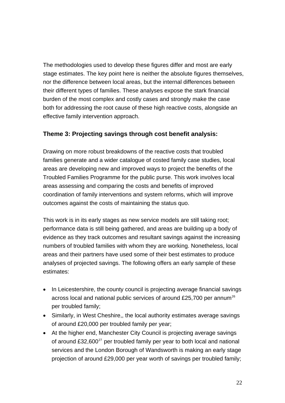The methodologies used to develop these figures differ and most are early stage estimates. The key point here is neither the absolute figures themselves, nor the difference between local areas, but the internal differences between their different types of families. These analyses expose the stark financial burden of the most complex and costly cases and strongly make the case both for addressing the root cause of these high reactive costs, alongside an effective family intervention approach.

#### **Theme 3: Projecting savings through cost benefit analysis:**

Drawing on more robust breakdowns of the reactive costs that troubled families generate and a wider catalogue of costed family case studies, local areas are developing new and improved ways to project the benefits of the Troubled Families Programme for the public purse. This work involves local areas assessing and comparing the costs and benefits of improved coordination of family interventions and system reforms, which will improve outcomes against the costs of maintaining the status quo.

This work is in its early stages as new service models are still taking root; performance data is still being gathered, and areas are building up a body of evidence as they track outcomes and resultant savings against the increasing numbers of troubled families with whom they are working. Nonetheless, local areas and their partners have used some of their best estimates to produce analyses of projected savings. The following offers an early sample of these estimates:

- In Leicestershire, the county council is projecting average financial savings across local and national public services of around £25,700 per annum<sup>[26](#page-47-0)</sup> per troubled family;
- Similarly, in West Cheshire,, the local authority estimates average savings of around £20,000 per troubled family per year;
- At the higher end, Manchester City Council is projecting average savings of around  $£32,600^{27}$  $£32,600^{27}$  $£32,600^{27}$  per troubled family per year to both local and national services and the London Borough of Wandsworth is making an early stage projection of around £29,000 per year worth of savings per troubled family;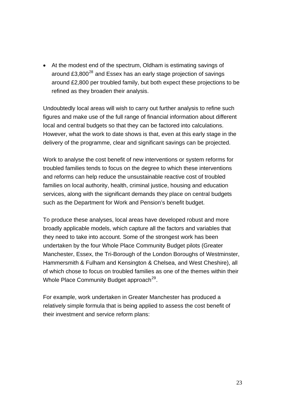• At the modest end of the spectrum, Oldham is estimating savings of around  $£3,800^{28}$  $£3,800^{28}$  $£3,800^{28}$  and Essex has an early stage projection of savings around £2,800 per troubled family, but both expect these projections to be refined as they broaden their analysis.

Undoubtedly local areas will wish to carry out further analysis to refine such figures and make use of the full range of financial information about different local and central budgets so that they can be factored into calculations. However, what the work to date shows is that, even at this early stage in the delivery of the programme, clear and significant savings can be projected.

Work to analyse the cost benefit of new interventions or system reforms for troubled families tends to focus on the degree to which these interventions and reforms can help reduce the unsustainable reactive cost of troubled families on local authority, health, criminal justice, housing and education services, along with the significant demands they place on central budgets such as the Department for Work and Pension's benefit budget.

To produce these analyses, local areas have developed robust and more broadly applicable models, which capture all the factors and variables that they need to take into account. Some of the strongest work has been undertaken by the four Whole Place Community Budget pilots (Greater Manchester, Essex, the Tri-Borough of the London Boroughs of Westminster, Hammersmith & Fulham and Kensington & Chelsea, and West Cheshire), all of which chose to focus on troubled families as one of the themes within their Whole Place Community Budget approach<sup>[29](#page-47-0)</sup>.

For example, work undertaken in Greater Manchester has produced a relatively simple formula that is being applied to assess the cost benefit of their investment and service reform plans: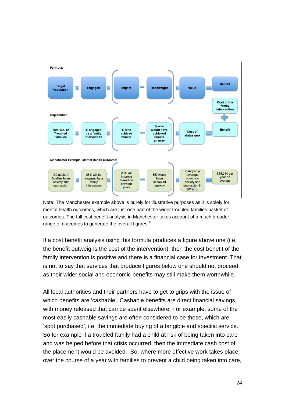

Note: The Manchester example above is purely for illustrative purposes as it is solely for mental health outcomes, which are just one part of the wider troubled families basket of outcomes. The full cost benefit analysis in Manchester takes account of a much broader range of outcomes to generate the overall figures<sup>[30](#page-47-0)</sup>.

If a cost benefit analysis using this formula produces a figure above one (i.e. the benefit outweighs the cost of the intervention), then the cost benefit of the family intervention is positive and there is a financial case for investment. That is not to say that services that produce figures below one should not proceed as their wider social and economic benefits may still make them worthwhile.

All local authorities and their partners have to get to grips with the issue of which benefits are 'cashable'. Cashable benefits are direct financial savings with money released that can be spent elsewhere. For example, some of the most easily cashable savings are often considered to be those, which are 'spot purchased', i.e. the immediate buying of a tangible and specific service. So for example if a troubled family had a child at risk of being taken into care and was helped before that crisis occurred, then the immediate cash cost of the placement would be avoided. So, where more effective work takes place over the course of a year with families to prevent a child being taken into care,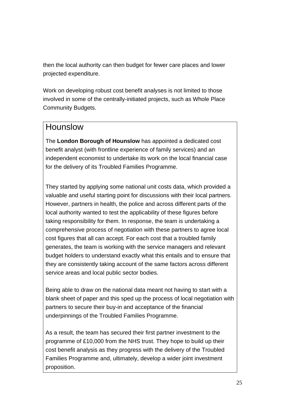then the local authority can then budget for fewer care places and lower projected expenditure.

Work on developing robust cost benefit analyses is not limited to those involved in some of the centrally-initiated projects, such as Whole Place Community Budgets.

#### Hounslow

The **London Borough of Hounslow** has appointed a dedicated cost benefit analyst (with frontline experience of family services) and an independent economist to undertake its work on the local financial case for the delivery of its Troubled Families Programme.

They started by applying some national unit costs data, which provided a valuable and useful starting point for discussions with their local partners. However, partners in health, the police and across different parts of the local authority wanted to test the applicability of these figures before taking responsibility for them. In response, the team is undertaking a comprehensive process of negotiation with these partners to agree local cost figures that all can accept. For each cost that a troubled family generates, the team is working with the service managers and relevant budget holders to understand exactly what this entails and to ensure that they are consistently taking account of the same factors across different service areas and local public sector bodies.

Being able to draw on the national data meant not having to start with a blank sheet of paper and this sped up the process of local negotiation with partners to secure their buy-in and acceptance of the financial underpinnings of the Troubled Families Programme.

As a result, the team has secured their first partner investment to the programme of £10,000 from the NHS trust. They hope to build up their cost benefit analysis as they progress with the delivery of the Troubled Families Programme and, ultimately, develop a wider joint investment proposition.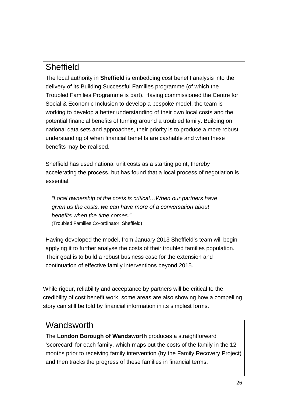# **Sheffield**

The local authority in **Sheffield** is embedding cost benefit analysis into the delivery of its Building Successful Families programme (of which the Troubled Families Programme is part). Having commissioned the Centre for Social & Economic Inclusion to develop a bespoke model, the team is working to develop a better understanding of their own local costs and the potential financial benefits of turning around a troubled family. Building on national data sets and approaches, their priority is to produce a more robust understanding of when financial benefits are cashable and when these benefits may be realised.

Sheffield has used national unit costs as a starting point, thereby accelerating the process, but has found that a local process of negotiation is essential.

*"Local ownership of the costs is critical…When our partners have given us the costs, we can have more of a conversation about benefits when the time comes."*  (Troubled Families Co-ordinator, Sheffield)

Having developed the model, from January 2013 Sheffield's team will begin applying it to further analyse the costs of their troubled families population. Their goal is to build a robust business case for the extension and continuation of effective family interventions beyond 2015.

While rigour, reliability and acceptance by partners will be critical to the credibility of cost benefit work, some areas are also showing how a compelling story can still be told by financial information in its simplest forms.

### **Wandsworth**

The **London Borough of Wandsworth** produces a straightforward 'scorecard' for each family, which maps out the costs of the family in the 12 months prior to receiving family intervention (by the Family Recovery Project) and then tracks the progress of these families in financial terms.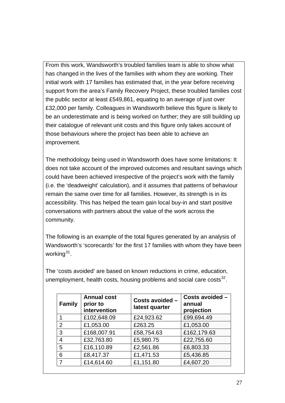From this work, Wandsworth's troubled families team is able to show what has changed in the lives of the families with whom they are working. Their initial work with 17 families has estimated that, in the year before receiving support from the area's Family Recovery Project, these troubled families cost the public sector at least £549,861, equating to an average of just over £32,000 per family. Colleagues in Wandsworth believe this figure is likely to be an underestimate and is being worked on further; they are still building up their catalogue of relevant unit costs and this figure only takes account of those behaviours where the project has been able to achieve an improvement.

The methodology being used in Wandsworth does have some limitations: It does not take account of the improved outcomes and resultant savings which could have been achieved irrespective of the project's work with the family (i.e. the 'deadweight' calculation), and it assumes that patterns of behaviour remain the same over time for all families. However, its strength is in its accessibility. This has helped the team gain local buy-in and start positive conversations with partners about the value of the work across the community.

The following is an example of the total figures generated by an analysis of Wandsworth's 'scorecards' for the first 17 families with whom they have been working $31$ .

The 'costs avoided' are based on known reductions in crime, education, unemployment, health costs, housing problems and social care costs $^{32}$  $^{32}$  $^{32}$ .

| <b>Family</b>  | <b>Annual cost</b><br>prior to<br>intervention | Costs avoided -<br>latest quarter | Costs avoided -<br>annual<br>projection |
|----------------|------------------------------------------------|-----------------------------------|-----------------------------------------|
|                | £102,648.09                                    | £24,923.62                        | £99,694.49                              |
| $\overline{2}$ | £1,053.00                                      | £263.25                           | £1,053.00                               |
| 3              | £168,007.91                                    | £58,754.63                        | £162,179.63                             |
| 4              | £32,763.80                                     | £5,980.75                         | £22,755.60                              |
| 5              | £16,110.89                                     | £2,561.86                         | £6,803.33                               |
| 6              | £8,417.37                                      | £1,471.53                         | £5,436.85                               |
| 7              | £14,614.60                                     | £1,151.80                         | £4,607.20                               |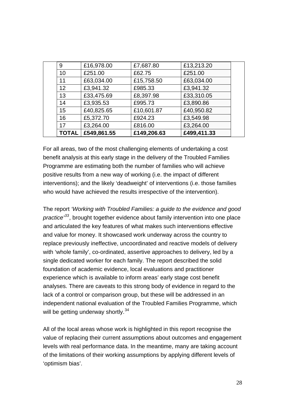| <b>TOTAL</b> | £549,861.55 | £149,206.63 | £499,411.33 |  |
|--------------|-------------|-------------|-------------|--|
| 17           | £3,264.00   | £816.00     | £3,264.00   |  |
| 16           | £5,372.70   | £924.23     | £3,549.98   |  |
| 15           | £40,825.65  | £10,601.87  | £40,950.82  |  |
| 14           | £3,935.53   | £995.73     | £3,890.86   |  |
| 13           | £33,475.69  | £8,397.98   | £33,310.05  |  |
| 12           | £3,941.32   | £985.33     | £3,941.32   |  |
| 11           | £63,034.00  | £15,758.50  | £63,034.00  |  |
| 10           | £251.00     | £62.75      | £251.00     |  |
| 9            | £16,978.00  | £7,687.80   | £13,213.20  |  |
|              |             |             |             |  |

For all areas, two of the most challenging elements of undertaking a cost benefit analysis at this early stage in the delivery of the Troubled Families Programme are estimating both the number of families who will achieve positive results from a new way of working (i.e. the impact of different interventions); and the likely 'deadweight' of interventions (i.e. those families who would have achieved the results irrespective of the intervention).

The report *'Working with Troubled Families: a guide to the evidence and good practice'[33](#page-48-0)*, brought together evidence about family intervention into one place and articulated the key features of what makes such interventions effective and value for money. It showcased work underway across the country to replace previously ineffective, uncoordinated and reactive models of delivery with 'whole family', co-ordinated, assertive approaches to delivery, led by a single dedicated worker for each family. The report described the solid foundation of academic evidence, local evaluations and practitioner experience which is available to inform areas' early stage cost benefit analyses. There are caveats to this strong body of evidence in regard to the lack of a control or comparison group, but these will be addressed in an independent national evaluation of the Troubled Families Programme, which will be getting underway shortly.  $34$ 

All of the local areas whose work is highlighted in this report recognise the value of replacing their current assumptions about outcomes and engagement levels with real performance data. In the meantime, many are taking account of the limitations of their working assumptions by applying different levels of 'optimism bias'.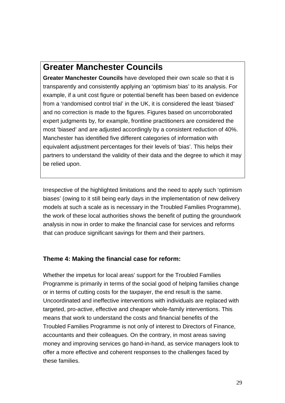## **Greater Manchester Councils**

**Greater Manchester Councils** have developed their own scale so that it is transparently and consistently applying an 'optimism bias' to its analysis. For example, if a unit cost figure or potential benefit has been based on evidence from a 'randomised control trial' in the UK, it is considered the least 'biased' and no correction is made to the figures. Figures based on uncorroborated expert judgments by, for example, frontline practitioners are considered the most 'biased' and are adjusted accordingly by a consistent reduction of 40%. Manchester has identified five different categories of information with equivalent adjustment percentages for their levels of 'bias'. This helps their partners to understand the validity of their data and the degree to which it may be relied upon.

Irrespective of the highlighted limitations and the need to apply such 'optimism biases' (owing to it still being early days in the implementation of new delivery models at such a scale as is necessary in the Troubled Families Programme), the work of these local authorities shows the benefit of putting the groundwork analysis in now in order to make the financial case for services and reforms that can produce significant savings for them and their partners.

#### **Theme 4: Making the financial case for reform:**

Whether the impetus for local areas' support for the Troubled Families Programme is primarily in terms of the social good of helping families change or in terms of cutting costs for the taxpayer, the end result is the same. Uncoordinated and ineffective interventions with individuals are replaced with targeted, pro-active, effective and cheaper whole-family interventions. This means that work to understand the costs and financial benefits of the Troubled Families Programme is not only of interest to Directors of Finance, accountants and their colleagues. On the contrary, in most areas saving money and improving services go hand-in-hand, as service managers look to offer a more effective and coherent responses to the challenges faced by these families.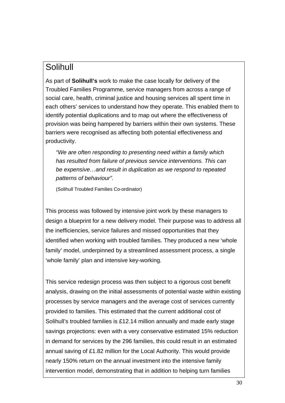# Solihull

As part of **Solihull's** work to make the case locally for delivery of the Troubled Families Programme, service managers from across a range of social care, health, criminal justice and housing services all spent time in each others' services to understand how they operate. This enabled them to identify potential duplications and to map out where the effectiveness of provision was being hampered by barriers within their own systems. These barriers were recognised as affecting both potential effectiveness and productivity.

*"We are often responding to presenting need within a family which has resulted from failure of previous service interventions. This can be expensive…and result in duplication as we respond to repeated patterns of behaviour".* 

(Solihull Troubled Families Co-ordinator)

This process was followed by intensive joint work by these managers to design a blueprint for a new delivery model. Their purpose was to address all the inefficiencies, service failures and missed opportunities that they identified when working with troubled families. They produced a new 'whole family' model, underpinned by a streamlined assessment process, a single 'whole family' plan and intensive key-working.

This service redesign process was then subject to a rigorous cost benefit analysis, drawing on the initial assessments of potential waste within existing processes by service managers and the average cost of services currently provided to families. This estimated that the current additional cost of Solihull's troubled families is £12.14 million annually and made early stage savings projections: even with a very conservative estimated 15% reduction in demand for services by the 296 families, this could result in an estimated annual saving of £1.82 million for the Local Authority. This would provide nearly 150% return on the annual investment into the intensive family intervention model, demonstrating that in addition to helping turn families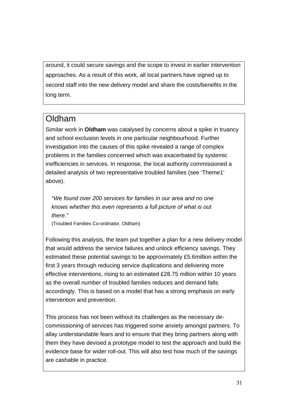around, it could secure savings and the scope to invest in earlier intervention approaches. As a result of this work, all local partners have signed up to second staff into the new delivery model and share the costs/benefits in the long term.

# Oldham

Similar work in **Oldham** was catalysed by concerns about a spike in truancy and school exclusion levels in one particular neighbourhood. Further investigation into the causes of this spike revealed a range of complex problems in the families concerned which was exacerbated by systemic inefficiencies in services. In response, the local authority commissioned a detailed analysis of two representative troubled families (see 'Theme1' above).

*"We found over 200 services for families in our area and no one knows whether this even represents a full picture of what is out there."* 

(Troubled Families Co-ordinator, Oldham)

Following this analysis, the team put together a plan for a new delivery model that would address the service failures and unlock efficiency savings. They estimated these potential savings to be approximately £5.6million within the first 3 years through reducing service duplications and delivering more effective interventions, rising to an estimated £28.75 million within 10 years as the overall number of troubled families reduces and demand falls accordingly. This is based on a model that has a strong emphasis on early intervention and prevention.

This process has not been without its challenges as the necessary decommissioning of services has triggered some anxiety amongst partners. To allay understandable fears and to ensure that they bring partners along with them they have devised a prototype model to test the approach and build the evidence base for wider roll-out. This will also test how much of the savings are cashable in practice.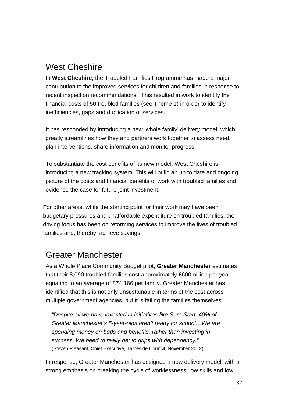# West Cheshire

In **West Cheshire**, the Troubled Families Programme has made a major contribution to the improved services for children and families in response to recent inspection recommendations. This resulted in work to identify the financial costs of 50 troubled families (see Theme 1) in order to identify inefficiencies, gaps and duplication of services.

It has responded by introducing a new 'whole family' delivery model, which greatly streamlines how they and partners work together to assess need, plan interventions, share information and monitor progress.

To substantiate the cost benefits of its new model, West Cheshire is introducing a new tracking system. This will build an up to date and ongoing picture of the costs and financial benefits of work with troubled families and evidence the case for future joint investment.

For other areas, while the starting point for their work may have been budgetary pressures and unaffordable expenditure on troubled families, the driving focus has been on reforming services to improve the lives of troubled families and, thereby, achieve savings.

### Greater Manchester

As a Whole Place Community Budget pilot, **Greater Manchester** estimates that their 8,090 troubled families cost approximately £600million per year, equating to an average of £74,166 per family. Greater Manchester has identified that this is not only unsustainable in terms of the cost across multiple government agencies, but it is failing the families themselves.

*"Despite all we have invested in initiatives like Sure Start, 40% of Greater Manchester's 5-year-olds aren't ready for school…We are spending money on beds and benefits, rather than investing in success. We need to really get to grips with dependency."* (Steven Pleasant, Chief Executive, Tameside Council, November 2012)

In response, Greater Manchester has designed a new delivery model, with a strong emphasis on breaking the cycle of worklessness, low skills and low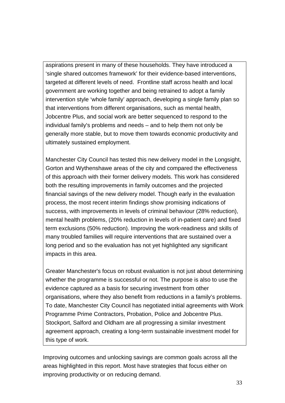aspirations present in many of these households. They have introduced a 'single shared outcomes framework' for their evidence-based interventions, targeted at different levels of need. Frontline staff across health and local government are working together and being retrained to adopt a family intervention style 'whole family' approach, developing a single family plan so that interventions from different organisations, such as mental health, Jobcentre Plus, and social work are better sequenced to respond to the individual family's problems and needs – and to help them not only be generally more stable, but to move them towards economic productivity and ultimately sustained employment.

Manchester City Council has tested this new delivery model in the Longsight, Gorton and Wythenshawe areas of the city and compared the effectiveness of this approach with their former delivery models. This work has considered both the resulting improvements in family outcomes and the projected financial savings of the new delivery model. Though early in the evaluation process, the most recent interim findings show promising indications of success, with improvements in levels of criminal behaviour (28% reduction), mental health problems, (20% reduction in levels of in-patient care) and fixed term exclusions (50% reduction). Improving the work-readiness and skills of many troubled families will require interventions that are sustained over a long period and so the evaluation has not yet highlighted any significant impacts in this area.

Greater Manchester's focus on robust evaluation is not just about determining whether the programme is successful or not. The purpose is also to use the evidence captured as a basis for securing investment from other organisations, where they also benefit from reductions in a family's problems. To date, Manchester City Council has negotiated initial agreements with Work Programme Prime Contractors, Probation, Police and Jobcentre Plus. Stockport, Salford and Oldham are all progressing a similar investment agreement approach, creating a long-term sustainable investment model for this type of work.

Improving outcomes and unlocking savings are common goals across all the areas highlighted in this report. Most have strategies that focus either on improving productivity or on reducing demand.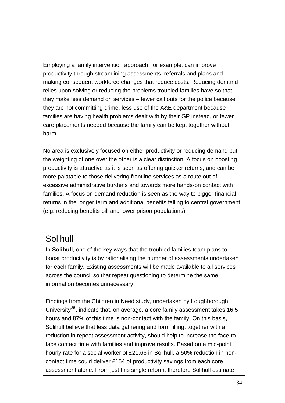Employing a family intervention approach, for example, can improve productivity through streamlining assessments, referrals and plans and making consequent workforce changes that reduce costs. Reducing demand relies upon solving or reducing the problems troubled families have so that they make less demand on services – fewer call outs for the police because they are not committing crime, less use of the A&E department because families are having health problems dealt with by their GP instead, or fewer care placements needed because the family can be kept together without harm.

No area is exclusively focused on either productivity or reducing demand but the weighting of one over the other is a clear distinction. A focus on boosting productivity is attractive as it is seen as offering quicker returns, and can be more palatable to those delivering frontline services as a route out of excessive administrative burdens and towards more hands-on contact with families. A focus on demand reduction is seen as the way to bigger financial returns in the longer term and additional benefits falling to central government (e.g. reducing benefits bill and lower prison populations).

#### Solihull

In **Solihull**, one of the key ways that the troubled families team plans to boost productivity is by rationalising the number of assessments undertaken for each family. Existing assessments will be made available to all services across the council so that repeat questioning to determine the same information becomes unnecessary.

Findings from the Children in Need study, undertaken by Loughborough University $35$ , indicate that, on average, a core family assessment takes 16.5 hours and 87% of this time is non-contact with the family. On this basis, Solihull believe that less data gathering and form filling, together with a reduction in repeat assessment activity, should help to increase the face-toface contact time with families and improve results. Based on a mid-point hourly rate for a social worker of £21.66 in Solihull, a 50% reduction in noncontact time could deliver £154 of productivity savings from each core assessment alone. From just this single reform, therefore Solihull estimate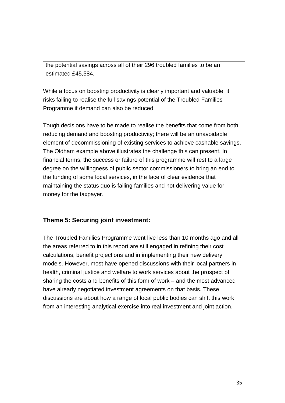the potential savings across all of their 296 troubled families to be an estimated £45,584.

While a focus on boosting productivity is clearly important and valuable, it risks failing to realise the full savings potential of the Troubled Families Programme if demand can also be reduced.

Tough decisions have to be made to realise the benefits that come from both reducing demand and boosting productivity; there will be an unavoidable element of decommissioning of existing services to achieve cashable savings. The Oldham example above illustrates the challenge this can present. In financial terms, the success or failure of this programme will rest to a large degree on the willingness of public sector commissioners to bring an end to the funding of some local services, in the face of clear evidence that maintaining the status quo is failing families and not delivering value for money for the taxpayer.

#### **Theme 5: Securing joint investment:**

The Troubled Families Programme went live less than 10 months ago and all the areas referred to in this report are still engaged in refining their cost calculations, benefit projections and in implementing their new delivery models. However, most have opened discussions with their local partners in health, criminal justice and welfare to work services about the prospect of sharing the costs and benefits of this form of work – and the most advanced have already negotiated investment agreements on that basis. These discussions are about how a range of local public bodies can shift this work from an interesting analytical exercise into real investment and joint action.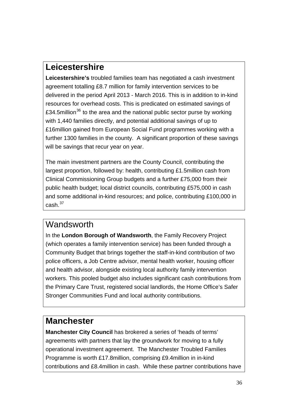# **Leicestershire**

**Leicestershire's** troubled families team has negotiated a cash investment agreement totalling £8.7 million for family intervention services to be delivered in the period April 2013 - March 2016. This is in addition to in-kind resources for overhead costs. This is predicated on estimated savings of £34.5million<sup>[36](#page-48-0)</sup> to the area and the national public sector purse by working with 1,440 families directly, and potential additional savings of up to £16million gained from European Social Fund programmes working with a further 1300 families in the county. A significant proportion of these savings will be savings that recur year on year.

The main investment partners are the County Council, contributing the largest proportion, followed by: health, contributing £1.5million cash from Clinical Commissioning Group budgets and a further £75,000 from their public health budget; local district councils, contributing £575,000 in cash and some additional in-kind resources; and police, contributing £100,000 in  $cash.<sup>37</sup>$  $cash.<sup>37</sup>$  $cash.<sup>37</sup>$ 

### **Wandsworth**

In the **London Borough of Wandsworth**, the Family Recovery Project (which operates a family intervention service) has been funded through a Community Budget that brings together the staff-in-kind contribution of two police officers, a Job Centre advisor, mental health worker, housing officer and health advisor, alongside existing local authority family intervention workers. This pooled budget also includes significant cash contributions from the Primary Care Trust, registered social landlords, the Home Office's Safer Stronger Communities Fund and local authority contributions.

# **Manchester**

**Manchester City Council** has brokered a series of 'heads of terms' agreements with partners that lay the groundwork for moving to a fully operational investment agreement. The Manchester Troubled Families Programme is worth £17.8million, comprising £9.4million in in-kind contributions and £8.4million in cash. While these partner contributions have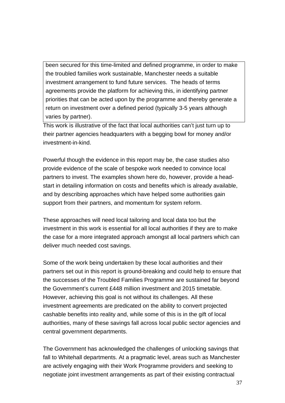been secured for this time-limited and defined programme, in order to make the troubled families work sustainable, Manchester needs a suitable investment arrangement to fund future services. The heads of terms agreements provide the platform for achieving this, in identifying partner priorities that can be acted upon by the programme and thereby generate a return on investment over a defined period (typically 3-5 years although varies by partner).

This work is illustrative of the fact that local authorities can't just turn up to their partner agencies headquarters with a begging bowl for money and/or investment-in-kind.

Powerful though the evidence in this report may be, the case studies also provide evidence of the scale of bespoke work needed to convince local partners to invest. The examples shown here do, however, provide a headstart in detailing information on costs and benefits which is already available, and by describing approaches which have helped some authorities gain support from their partners, and momentum for system reform.

These approaches will need local tailoring and local data too but the investment in this work is essential for all local authorities if they are to make the case for a more integrated approach amongst all local partners which can deliver much needed cost savings.

Some of the work being undertaken by these local authorities and their partners set out in this report is ground-breaking and could help to ensure that the successes of the Troubled Families Programme are sustained far beyond the Government's current £448 million investment and 2015 timetable. However, achieving this goal is not without its challenges. All these investment agreements are predicated on the ability to convert projected cashable benefits into reality and, while some of this is in the gift of local authorities, many of these savings fall across local public sector agencies and central government departments.

The Government has acknowledged the challenges of unlocking savings that fall to Whitehall departments. At a pragmatic level, areas such as Manchester are actively engaging with their Work Programme providers and seeking to negotiate joint investment arrangements as part of their existing contractual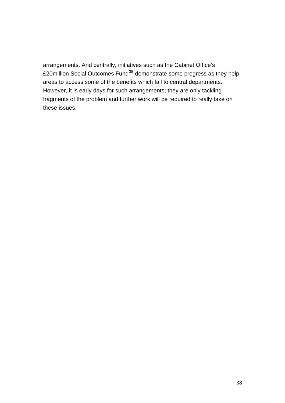arrangements. And centrally, initiatives such as the Cabinet Office's £20million Social Outcomes Fund<sup>[38](#page-48-0)</sup> demonstrate some progress as they help areas to access some of the benefits which fall to central departments. However, it is early days for such arrangements; they are only tackling fragments of the problem and further work will be required to really take on these issues.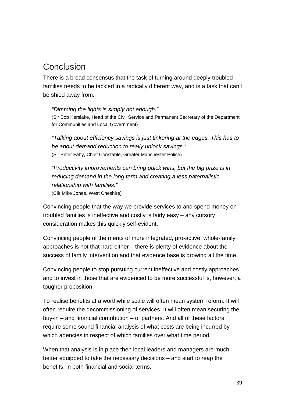## Conclusion

There is a broad consensus that the task of turning around deeply troubled families needs to be tackled in a radically different way, and is a task that can't be shied away from.

*"Dimming the lights is simply not enough."*  (Sir Bob Kerslake, Head of the Civil Service and Permanent Secretary of the Department for Communities and Local Government)

*"Talking about efficiency savings is just tinkering at the edges. This has to be about demand reduction to really unlock savings."* (Sir Peter Fahy, Chief Constable, Greater Manchester Police)

*"Productivity improvements can bring quick wins, but the big prize is in reducing demand in the long term and creating a less paternalistic relationship with families."* (Cllr Mike Jones, West Cheshire)

Convincing people that the way we provide services to and spend money on troubled families is ineffective and costly is fairly easy – any cursory consideration makes this quickly self-evident.

Convincing people of the merits of more integrated, pro-active, whole-family approaches is not that hard either – there is plenty of evidence about the success of family intervention and that evidence base is growing all the time.

Convincing people to stop pursuing current ineffective and costly approaches and to invest in those that are evidenced to be more successful is, however, a tougher proposition.

To realise benefits at a worthwhile scale will often mean system reform. It will often require the decommissioning of services. It will often mean securing the buy-in – and financial contribution – of partners. And all of these factors require some sound financial analysis of what costs are being incurred by which agencies in respect of which families over what time period.

When that analysis is in place then local leaders and managers are much better equipped to take the necessary decisions – and start to reap the benefits, in both financial and social terms.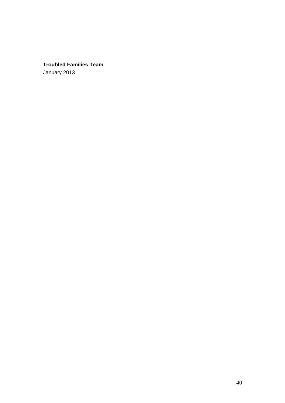#### **Troubled Families Team**

January 2013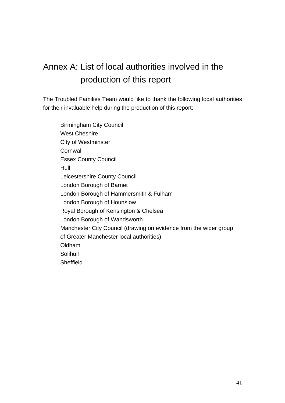# Annex A: List of local authorities involved in the production of this report

The Troubled Families Team would like to thank the following local authorities for their invaluable help during the production of this report:

Birmingham City Council West Cheshire City of Westminster **Cornwall** Essex County Council Hull Leicestershire County Council London Borough of Barnet London Borough of Hammersmith & Fulham London Borough of Hounslow Royal Borough of Kensington & Chelsea London Borough of Wandsworth Manchester City Council (drawing on evidence from the wider group of Greater Manchester local authorities) Oldham Solihull **Sheffield**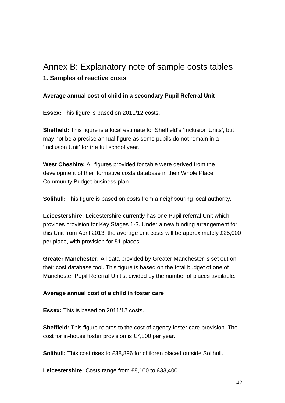# Annex B: Explanatory note of sample costs tables **1. Samples of reactive costs**

#### **Average annual cost of child in a secondary Pupil Referral Unit**

**Essex:** This figure is based on 2011/12 costs.

**Sheffield:** This figure is a local estimate for Sheffield's 'Inclusion Units', but may not be a precise annual figure as some pupils do not remain in a 'Inclusion Unit' for the full school year.

**West Cheshire:** All figures provided for table were derived from the development of their formative costs database in their Whole Place Community Budget business plan.

**Solihull:** This figure is based on costs from a neighbouring local authority.

**Leicestershire:** Leicestershire currently has one Pupil referral Unit which provides provision for Key Stages 1-3. Under a new funding arrangement for this Unit from April 2013, the average unit costs will be approximately £25,000 per place, with provision for 51 places.

**Greater Manchester:** All data provided by Greater Manchester is set out on their cost database tool. This figure is based on the total budget of one of Manchester Pupil Referral Unit's, divided by the number of places available.

#### **Average annual cost of a child in foster care**

**Essex:** This is based on 2011/12 costs.

**Sheffield:** This figure relates to the cost of agency foster care provision. The cost for in-house foster provision is £7,800 per year.

**Solihull:** This cost rises to £38,896 for children placed outside Solihull.

**Leicestershire:** Costs range from £8,100 to £33,400.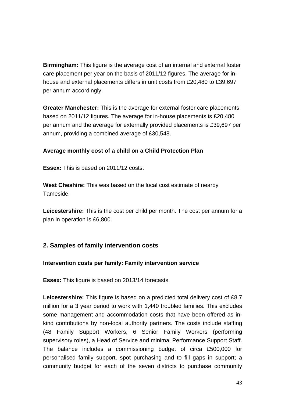**Birmingham:** This figure is the average cost of an internal and external foster care placement per year on the basis of 2011/12 figures. The average for inhouse and external placements differs in unit costs from £20,480 to £39,697 per annum accordingly.

**Greater Manchester:** This is the average for external foster care placements based on 2011/12 figures. The average for in-house placements is £20,480 per annum and the average for externally provided placements is £39,697 per annum, providing a combined average of £30,548.

#### **Average monthly cost of a child on a Child Protection Plan**

**Essex:** This is based on 2011/12 costs.

**West Cheshire:** This was based on the local cost estimate of nearby Tameside.

**Leicestershire:** This is the cost per child per month. The cost per annum for a plan in operation is £6,800.

#### **2. Samples of family intervention costs**

#### **Intervention costs per family: Family intervention service**

**Essex:** This figure is based on 2013/14 forecasts.

**Leicestershire:** This figure is based on a predicted total delivery cost of £8.7 million for a 3 year period to work with 1,440 troubled families. This excludes some management and accommodation costs that have been offered as inkind contributions by non-local authority partners. The costs include staffing (48 Family Support Workers, 6 Senior Family Workers (performing supervisory roles), a Head of Service and minimal Performance Support Staff. The balance includes a commissioning budget of circa £500,000 for personalised family support, spot purchasing and to fill gaps in support; a community budget for each of the seven districts to purchase community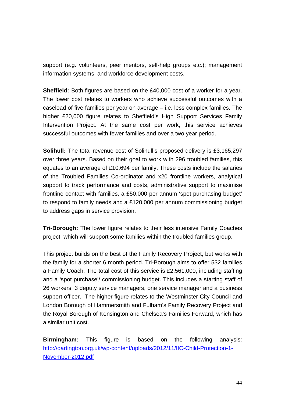support (e.g. volunteers, peer mentors, self-help groups etc.); management information systems; and workforce development costs.

**Sheffield:** Both figures are based on the £40,000 cost of a worker for a year. The lower cost relates to workers who achieve successful outcomes with a caseload of five families per year on average – i.e. less complex families. The higher £20,000 figure relates to Sheffield's High Support Services Family Intervention Project. At the same cost per work, this service achieves successful outcomes with fewer families and over a two year period.

**Solihull:** The total revenue cost of Solihull's proposed delivery is £3,165,297 over three years. Based on their goal to work with 296 troubled families, this equates to an average of £10,694 per family. These costs include the salaries of the Troubled Families Co-ordinator and x20 frontline workers, analytical support to track performance and costs, administrative support to maximise frontline contact with families, a £50,000 per annum 'spot purchasing budget' to respond to family needs and a £120,000 per annum commissioning budget to address gaps in service provision.

**Tri-Borough:** The lower figure relates to their less intensive Family Coaches project, which will support some families within the troubled families group.

This project builds on the best of the Family Recovery Project, but works with the family for a shorter 6 month period. Tri-Borough aims to offer 532 families a Family Coach. The total cost of this service is £2,561,000, including staffing and a 'spot purchase'/ commissioning budget. This includes a starting staff of 26 workers, 3 deputy service managers, one service manager and a business support officer. The higher figure relates to the Westminster City Council and London Borough of Hammersmith and Fulham's Family Recovery Project and the Royal Borough of Kensington and Chelsea's Families Forward, which has a similar unit cost.

**Birmingham:** This figure is based on the following analysis: [http://dartington.org.uk/wp-content/uploads/2012/11/IIC-Child-Protection-1-](http://dartington.org.uk/wp-content/uploads/2012/11/IIC-Child-Protection-1-November-2012.pdf) [November-2012.pdf](http://dartington.org.uk/wp-content/uploads/2012/11/IIC-Child-Protection-1-November-2012.pdf)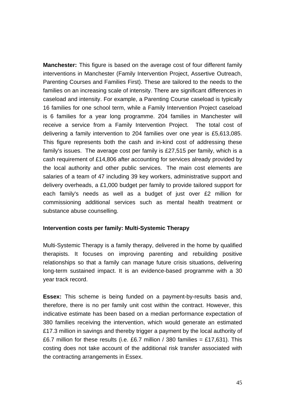**Manchester:** This figure is based on the average cost of four different family interventions in Manchester (Family Intervention Project, Assertive Outreach, Parenting Courses and Families First). These are tailored to the needs to the families on an increasing scale of intensity. There are significant differences in caseload and intensity. For example, a Parenting Course caseload is typically 16 families for one school term, while a Family Intervention Project caseload is 6 families for a year long programme. 204 families in Manchester will receive a service from a Family Intervention Project. The total cost of delivering a family intervention to 204 families over one year is £5,613,085. This figure represents both the cash and in-kind cost of addressing these family's issues. The average cost per family is £27,515 per family, which is a cash requirement of £14,806 after accounting for services already provided by the local authority and other public services. The main cost elements are salaries of a team of 47 including 39 key workers, administrative support and delivery overheads, a £1,000 budget per family to provide tailored support for each family's needs as well as a budget of just over £2 million for commissioning additional services such as mental health treatment or substance abuse counselling.

#### **Intervention costs per family: Multi-Systemic Therapy**

Multi-Systemic Therapy is a family therapy, delivered in the home by qualified therapists. It focuses on improving parenting and rebuilding positive relationships so that a family can manage future crisis situations, delivering long-term sustained impact. It is an evidence-based programme with a 30 year track record.

**Essex:** This scheme is being funded on a payment-by-results basis and, therefore, there is no per family unit cost within the contract. However, this indicative estimate has been based on a median performance expectation of 380 families receiving the intervention, which would generate an estimated £17.3 million in savings and thereby trigger a payment by the local authority of £6.7 million for these results (i.e. £6.7 million / 380 families = £17,631). This costing does not take account of the additional risk transfer associated with the contracting arrangements in Essex.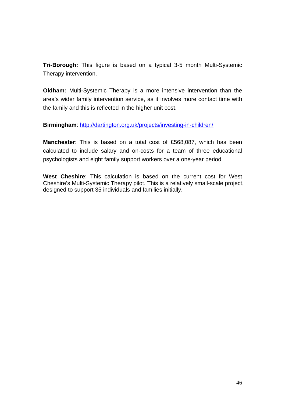**Tri-Borough:** This figure is based on a typical 3-5 month Multi-Systemic Therapy intervention.

**Oldham:** Multi-Systemic Therapy is a more intensive intervention than the area's wider family intervention service, as it involves more contact time with the family and this is reflected in the higher unit cost.

**Birmingham**: <http://dartington.org.uk/projects/investing-in-children/>

**Manchester**: This is based on a total cost of £568,087, which has been calculated to include salary and on-costs for a team of three educational psychologists and eight family support workers over a one-year period.

**West Cheshire**: This calculation is based on the current cost for West Cheshire's Multi-Systemic Therapy pilot. This is a relatively small-scale project, designed to support 35 individuals and families initially.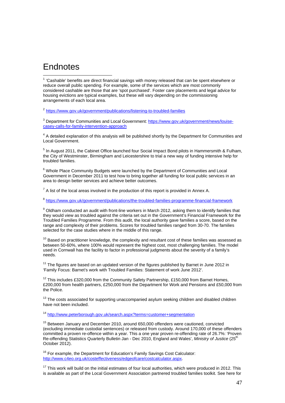#### <span id="page-46-1"></span>**Endnotes**

 $\overline{a}$ 

<span id="page-46-0"></span> $1$  'Cashable' benefits are direct financial savings with money released that can be spent elsewhere or reduce overall public spending. For example, some of the services which are most commonly considered cashable are those that are 'spot purchased'. Foster care placements and legal advice for housing evictions are typical examples, but these will vary depending on the commissioning arrangements of each local area.

<sup>2</sup> <https://www.gov.uk/government/publications/listening-to-troubled-families>

<sup>3</sup> Department for Communities and Local Government: [https://www.gov.uk/government/news/louise](https://www.gov.uk/government/news/louise-casey-calls-for-family-intervention-approach)[casey-calls-for-family-intervention-approach](https://www.gov.uk/government/news/louise-casey-calls-for-family-intervention-approach)

<sup>4</sup> A detailed explanation of this analysis will be published shortly by the Department for Communities and Local Government.

 $<sup>5</sup>$  In August 2011, the Cabinet Office launched four Social Impact Bond pilots in Hammersmith & Fulham,</sup> the City of Westminster, Birmingham and Leicestershire to trial a new way of funding intensive help for troubled families.

<sup>6</sup> Whole Place Community Budgets were launched by the Department of Communities and Local Government in December 2011 to test how to bring together all funding for local public services in an area to design better services and achieve better outcomes.

 $<sup>7</sup>$  A list of the local areas involved in the production of this report is provided in Annex A.</sup>

<sup>8</sup> <https://www.gov.uk/government/publications/the-troubled-families-programme-financial-framework>

 $9$  Oldham conducted an audit with front-line workers in March 2012, asking them to identify families that they would view as troubled against the criteria set out in the Government's Financial Framework for the Troubled Families Programme. From this audit, the local authority gave families a score, based on the range and complexity of their problems. Scores for troubled families ranged from 30-70. The families selected for the case studies where in the middle of this range.

 $10$  Based on practitioner knowledge, the complexity and resultant cost of these families was assessed as between 50-60%, where 100% would represent the highest cost, most challenging families. The model used in Cornwall has the facility to factor in professional judgments about the severity of a family's needs.

 $11$  The figures are based on an updated version of the figures published by Barnet in June 2012 in 'Family Focus: Barnet's work with Troubled Families: Statement of work June 2012'.

<sup>12</sup> This includes £320,000 from the Community Safety Partnership, £150,000 from Barnet Homes, £200,000 from health partners, £250,000 from the Department for Work and Pensions and £50,000 from the Police.

<sup>13</sup> The costs associated for supporting unaccompanied asylum seeking children and disabled children have not been included.

<sup>14</sup> <http://www.peterborough.gov.uk/search.aspx?terms=customer+segmentation>

<sup>15</sup> Between January and December 2010, around 650,000 offenders were cautioned, convicted (excluding immediate custodial sentences) or released from custody. Around 170,000 of these offenders committed a proven re-offence within a year. This a one year proven re-offending rate of 26.7%: 'Proven Re-offending Statistics Quarterly Bulletin Jan - Dec 2010, England and Wales', *Ministry of Justice* (25th October 2012).

<sup>16</sup> For example, the Department for Education's Family Savings Cost Calculator: <http://www.c4eo.org.uk/costeffectiveness/edgeofcare/costcalculator.aspx>.

 $17$  This work will build on the initial estimates of four local authorities, which were produced in 2012. This is available as part of the Local Government Association partnered troubled families toolkit. See here for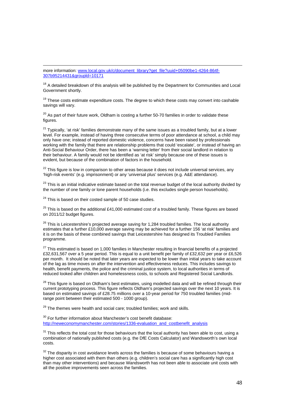<span id="page-47-0"></span>1 more information: [www.local.gov.uk/c/document\\_library?get\\_file?uuid+05090be1-4264-864f-](http://www.local.gov.uk/c/document_library?get_file?uuid+05090be1-4264-864f-307b95214431&groupld=10171)[307b95214431&groupld=10171](http://www.local.gov.uk/c/document_library?get_file?uuid+05090be1-4264-864f-307b95214431&groupld=10171)

 $18$  A detailed breakdown of this analysis will be published by the Department for Communities and Local Government shortly.

 $19$  These costs estimate expenditure costs. The degree to which these costs may convert into cashable savings will vary.

 $20$  As part of their future work, Oldham is costing a further 50-70 families in order to validate these figures.

 $21$  Typically, 'at risk' families demonstrate many of the same issues as a troubled family, but at a lower level. For example, instead of having three consecutive terms of poor attendance at school, a child may only have one; instead of reported domestic violence, concerns have been raised by professionals working with the family that there are relationship problems that could 'escalate', or instead of having an Anti-Social Behaviour Order, there has been a 'warning letter' from their social landlord in relation to their behaviour. A family would not be identified as 'at risk' simply because one of these issues is evident, but because of the combination of factors in the household.

<sup>22</sup> This figure is low in comparison to other areas because it does not include universal services, any 'high-risk events' (e.g. imprisonment) or any 'universal plus' services (e.g. A&E attendance).

 $23$  This is an initial indicative estimate based on the total revenue budget of the local authority divided by the number of one family or lone parent households (i.e. this excludes single person households).

 $24$  This is based on their costed sample of 50 case studies.

 $25$  This is based on the additional £41,000 estimated cost of a troubled family. These figures are based on 2011/12 budget figures.

 $26$  This is Leicestershire's projected average saving for 1,284 troubled families. The local authority estimates that a further £10,000 average saving may be achieved for a further 156 'at risk' families and it is on the basis of these combined savings that Leicestershire has designed its Troubled Families programme.

 $27$  This estimated is based on 1,000 families in Manchester resulting in financial benefits of a projected £32,631,567 over a 5 year period. This is equal to a unit benefit per family of £32,632 per year or £6,526 per month. It should be noted that later years are expected to be lower than initial years to take account of the lag as time moves on after the intervention and effectiveness reduces. This includes savings to health, benefit payments, the police and the criminal justice system, to local authorities in terms of reduced looked after children and homelessness costs, to schools and Registered Social Landlords.

<sup>28</sup> This figure is based on Oldham's best estimates, using modelled data and will be refined through their current prototyping process. This figure reflects Oldham's projected savings over the next 10 years. It is based on estimated savings of £28.75 millions over a 10-year period for 750 troubled families (midrange point between their estimated 500 - 1000 group).

<sup>29</sup> The themes were health and social care; troubled families; work and skills.

 $30$  For further information about Manchester's cost benefit database: [http://neweconomymanchester.com/stories/1336-evaluation\\_and\\_costbenefit\\_analysis](http://neweconomymanchester.com/stories/1336-evaluation_and_costbenefit_analysis)

 $31$  This reflects the total cost for those behaviours that the local authority has been able to cost, using a combination of nationally published costs (e.g. the DfE Costs Calculator) and Wandsworth's own local costs.

 $32$  The disparity in cost avoidance levels across the families is because of some behaviours having a higher cost associated with them than others (e.g. children's social care has a significantly high cost than may other interventions) and because Wandsworth has not been able to associate unit costs with all the positive improvements seen across the families.